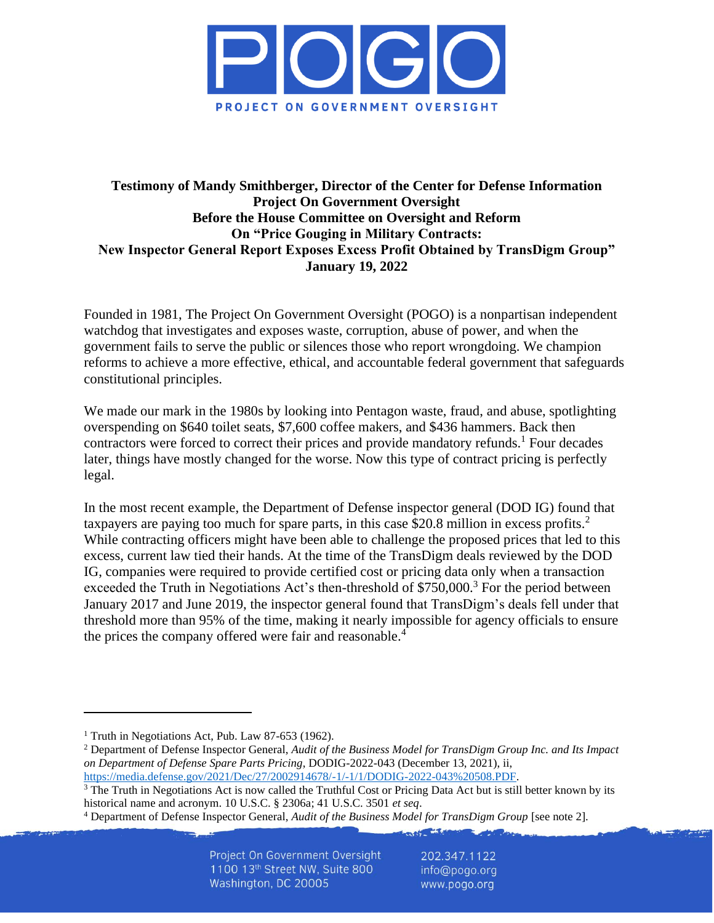

### **Testimony of Mandy Smithberger, Director of the Center for Defense Information Project On Government Oversight Before the House Committee on Oversight and Reform On "Price Gouging in Military Contracts: New Inspector General Report Exposes Excess Profit Obtained by TransDigm Group" January 19, 2022**

Founded in 1981, The Project On Government Oversight (POGO) is a nonpartisan independent watchdog that investigates and exposes waste, corruption, abuse of power, and when the government fails to serve the public or silences those who report wrongdoing. We champion reforms to achieve a more effective, ethical, and accountable federal government that safeguards constitutional principles.

We made our mark in the 1980s by looking into Pentagon waste, fraud, and abuse, spotlighting overspending on \$640 toilet seats, \$7,600 coffee makers, and \$436 hammers. Back then contractors were forced to correct their prices and provide mandatory refunds.<sup>1</sup> Four decades later, things have mostly changed for the worse. Now this type of contract pricing is perfectly legal.

In the most recent example, the Department of Defense inspector general (DOD IG) found that taxpayers are paying too much for spare parts, in this case \$20.8 million in excess profits.<sup>2</sup> While contracting officers might have been able to challenge the proposed prices that led to this excess, current law tied their hands. At the time of the TransDigm deals reviewed by the DOD IG, companies were required to provide certified cost or pricing data only when a transaction exceeded the Truth in Negotiations Act's then-threshold of \$750,000.<sup>3</sup> For the period between January 2017 and June 2019, the inspector general found that TransDigm's deals fell under that threshold more than 95% of the time, making it nearly impossible for agency officials to ensure the prices the company offered were fair and reasonable.<sup>4</sup>

202.347.1122 info@pogo.org www.pogo.org

<sup>&</sup>lt;sup>1</sup> Truth in Negotiations Act, Pub. Law 87-653 (1962).

<sup>2</sup> Department of Defense Inspector General, *Audit of the Business Model for TransDigm Group Inc. and Its Impact on Department of Defense Spare Parts Pricing*, DODIG-2022-043 (December 13, 2021), ii,

[https://media.defense.gov/2021/Dec/27/2002914678/-1/-1/1/DODIG-2022-043%20508.PDF.](https://media.defense.gov/2021/Dec/27/2002914678/-1/-1/1/DODIG-2022-043%20508.PDF)

 $3$  The Truth in Negotiations Act is now called the Truthful Cost or Pricing Data Act but is still better known by its historical name and acronym. 10 U.S.C. § 2306a; 41 U.S.C. 3501 *et seq*.

<sup>4</sup> Department of Defense Inspector General, *Audit of the Business Model for TransDigm Group* [see note 2].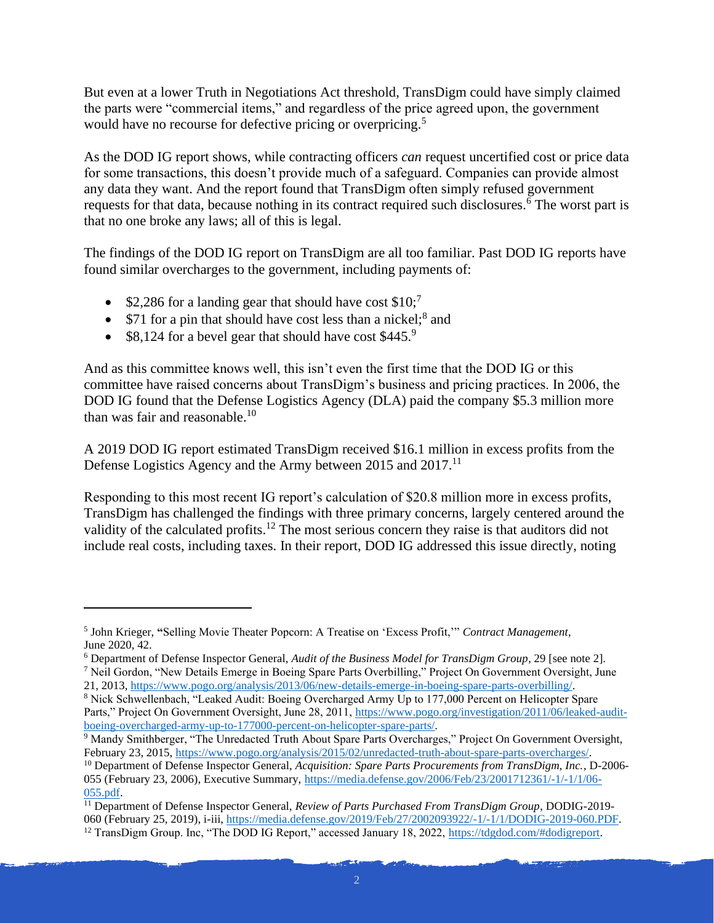But even at a lower Truth in Negotiations Act threshold, TransDigm could have simply claimed the parts were "commercial items," and regardless of the price agreed upon, the government would have no recourse for defective pricing or overpricing.<sup>5</sup>

As the DOD IG report shows, while contracting officers *can* request uncertified cost or price data for some transactions, this doesn't provide much of a safeguard. Companies can provide almost any data they want. And the report found that TransDigm often simply refused government requests for that data, because nothing in its contract required such disclosures.<sup>6</sup> The worst part is that no one broke any laws; all of this is legal.

The findings of the DOD IG report on TransDigm are all too familiar. Past DOD IG reports have found similar overcharges to the government, including payments of:

- \$2,286 for a landing gear that should have cost  $$10$ ;<sup>7</sup>
- \$71 for a pin that should have cost less than a nickel; $^8$  and
- $$8,124$  for a bevel gear that should have cost  $$445$ .<sup>9</sup>

And as this committee knows well, this isn't even the first time that the DOD IG or this committee have raised concerns about TransDigm's business and pricing practices. In 2006, the DOD IG found that the Defense Logistics Agency (DLA) paid the company \$5.3 million more than was fair and reasonable.<sup>10</sup>

A 2019 DOD IG report estimated TransDigm received \$16.1 million in excess profits from the Defense Logistics Agency and the Army between 2015 and 2017.<sup>11</sup>

Responding to this most recent IG report's calculation of \$20.8 million more in excess profits, TransDigm has challenged the findings with three primary concerns, largely centered around the validity of the calculated profits.<sup>12</sup> The most serious concern they raise is that auditors did not include real costs, including taxes. In their report, DOD IG addressed this issue directly, noting

21, 2013, [https://www.pogo.org/analysis/2013/06/new-details-emerge-in-boeing-spare-parts-overbilling/.](https://www.pogo.org/analysis/2013/06/new-details-emerge-in-boeing-spare-parts-overbilling/) <sup>8</sup> Nick Schwellenbach, "Leaked Audit: Boeing Overcharged Army Up to 177,000 Percent on Helicopter Spare

<sup>5</sup> John Krieger, **"**Selling Movie Theater Popcorn: A Treatise on 'Excess Profit,'" *Contract Management*, June 2020, 42.

<sup>6</sup> Department of Defense Inspector General, *Audit of the Business Model for TransDigm Group*, 29 [see note 2]. <sup>7</sup> Neil Gordon, "New Details Emerge in Boeing Spare Parts Overbilling," Project On Government Oversight, June

Parts," Project On Government Oversight, June 28, 2011[, https://www.pogo.org/investigation/2011/06/leaked-audit](https://www.pogo.org/investigation/2011/06/leaked-audit-boeing-overcharged-army-up-to-177000-percent-on-helicopter-spare-parts/)[boeing-overcharged-army-up-to-177000-percent-on-helicopter-spare-parts/.](https://www.pogo.org/investigation/2011/06/leaked-audit-boeing-overcharged-army-up-to-177000-percent-on-helicopter-spare-parts/)

<sup>&</sup>lt;sup>9</sup> Mandy Smithberger, "The Unredacted Truth About Spare Parts Overcharges," Project On Government Oversight, February 23, 2015[, https://www.pogo.org/analysis/2015/02/unredacted-truth-about-spare-parts-overcharges/.](https://www.pogo.org/analysis/2015/02/unredacted-truth-about-spare-parts-overcharges/)

<sup>10</sup> Department of Defense Inspector General, *Acquisition: Spare Parts Procurements from TransDigm, Inc.*, D-2006- 055 (February 23, 2006), Executive Summary, [https://media.defense.gov/2006/Feb/23/2001712361/-1/-1/1/06-](https://media.defense.gov/2006/Feb/23/2001712361/-1/-1/1/06-055.pdf) [055.pdf.](https://media.defense.gov/2006/Feb/23/2001712361/-1/-1/1/06-055.pdf)

<sup>11</sup> Department of Defense Inspector General, *Review of Parts Purchased From TransDigm Group*, DODIG-2019- 060 (February 25, 2019), i-iii, [https://media.defense.gov/2019/Feb/27/2002093922/-1/-1/1/DODIG-2019-060.PDF.](https://media.defense.gov/2019/Feb/27/2002093922/-1/-1/1/DODIG-2019-060.PDF) <sup>12</sup> TransDigm Group. Inc, "The DOD IG Report," accessed January 18, 2022, [https://tdgdod.com/#dodigreport.](https://tdgdod.com/#dodigreport)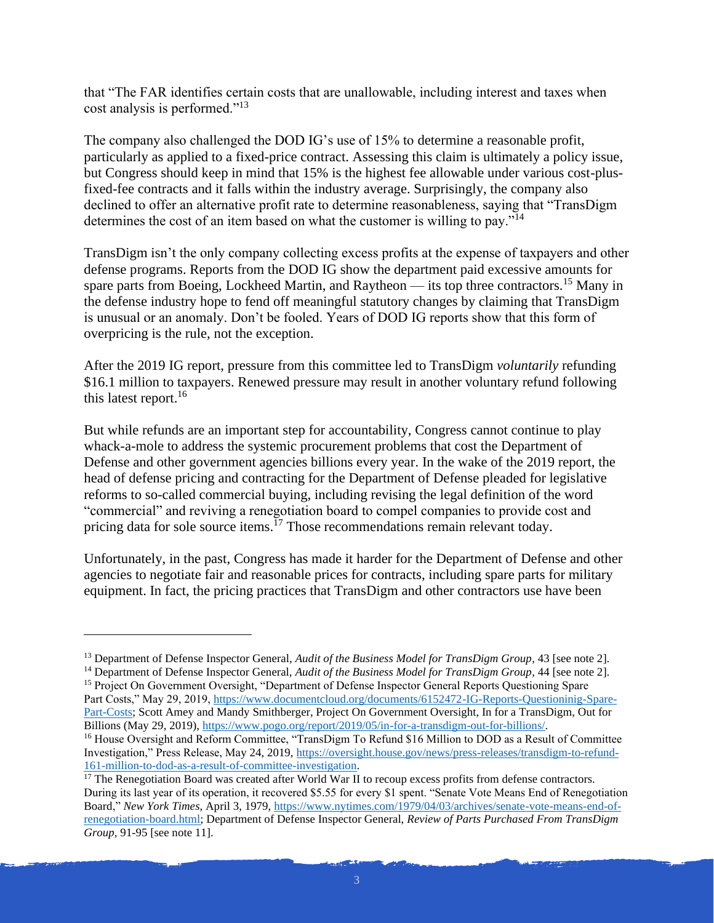that "The FAR identifies certain costs that are unallowable, including interest and taxes when cost analysis is performed."<sup>13</sup>

The company also challenged the DOD IG's use of 15% to determine a reasonable profit, particularly as applied to a fixed-price contract. Assessing this claim is ultimately a policy issue, but Congress should keep in mind that 15% is the highest fee allowable under various cost-plusfixed-fee contracts and it falls within the industry average. Surprisingly, the company also declined to offer an alternative profit rate to determine reasonableness, saying that "TransDigm determines the cost of an item based on what the customer is willing to pay."<sup>14</sup>

TransDigm isn't the only company collecting excess profits at the expense of taxpayers and other defense programs. Reports from the DOD IG show the department paid excessive amounts for spare parts from Boeing, Lockheed Martin, and Raytheon — its top three contractors.<sup>15</sup> Many in the defense industry hope to fend off meaningful statutory changes by claiming that TransDigm is unusual or an anomaly. Don't be fooled. Years of DOD IG reports show that this form of overpricing is the rule, not the exception.

After the 2019 IG report, pressure from this committee led to TransDigm *voluntarily* refunding \$16.1 million to taxpayers. Renewed pressure may result in another voluntary refund following this latest report.<sup>16</sup>

But while refunds are an important step for accountability, Congress cannot continue to play whack-a-mole to address the systemic procurement problems that cost the Department of Defense and other government agencies billions every year. In the wake of the 2019 report, the head of defense pricing and contracting for the Department of Defense pleaded for legislative reforms to so-called commercial buying, including revising the legal definition of the word "commercial" and reviving a renegotiation board to compel companies to provide cost and pricing data for sole source items.<sup> $17$ </sup> Those recommendations remain relevant today.

Unfortunately, in the past, Congress has made it harder for the Department of Defense and other agencies to negotiate fair and reasonable prices for contracts, including spare parts for military equipment. In fact, the pricing practices that TransDigm and other contractors use have been

<sup>13</sup> Department of Defense Inspector General, *Audit of the Business Model for TransDigm Group*, 43 [see note 2].

<sup>14</sup> Department of Defense Inspector General, *Audit of the Business Model for TransDigm Group*, 44 [see note 2]. <sup>15</sup> Project On Government Oversight, "Department of Defense Inspector General Reports Questioning Spare Part Costs," May 29, 2019, [https://www.documentcloud.org/documents/6152472-IG-Reports-Questioninig-Spare-](https://www.documentcloud.org/documents/6152472-IG-Reports-Questioninig-Spare-Part-Costs)[Part-Costs;](https://www.documentcloud.org/documents/6152472-IG-Reports-Questioninig-Spare-Part-Costs) Scott Amey and Mandy Smithberger, Project On Government Oversight, In for a TransDigm, Out for Billions (May 29, 2019)[, https://www.pogo.org/report/2019/05/in-for-a-transdigm-out-for-billions/.](https://www.pogo.org/report/2019/05/in-for-a-transdigm-out-for-billions/)

<sup>&</sup>lt;sup>16</sup> House Oversight and Reform Committee, "TransDigm To Refund \$16 Million to DOD as a Result of Committee Investigation," Press Release, May 24, 2019, [https://oversight.house.gov/news/press-releases/transdigm-to-refund-](https://oversight.house.gov/news/press-releases/transdigm-to-refund-161-million-to-dod-as-a-result-of-committee-investigation)[161-million-to-dod-as-a-result-of-committee-investigation.](https://oversight.house.gov/news/press-releases/transdigm-to-refund-161-million-to-dod-as-a-result-of-committee-investigation)

<sup>&</sup>lt;sup>17</sup> The Renegotiation Board was created after World War II to recoup excess profits from defense contractors. During its last year of its operation, it recovered \$5.55 for every \$1 spent. "Senate Vote Means End of Renegotiation Board," *New York Times*, April 3, 1979, [https://www.nytimes.com/1979/04/03/archives/senate-vote-means-end-of](https://www.nytimes.com/1979/04/03/archives/senate-vote-means-end-of-renegotiation-board.html)[renegotiation-board.html;](https://www.nytimes.com/1979/04/03/archives/senate-vote-means-end-of-renegotiation-board.html) Department of Defense Inspector General, *Review of Parts Purchased From TransDigm Group,* 91-95 [see note 11].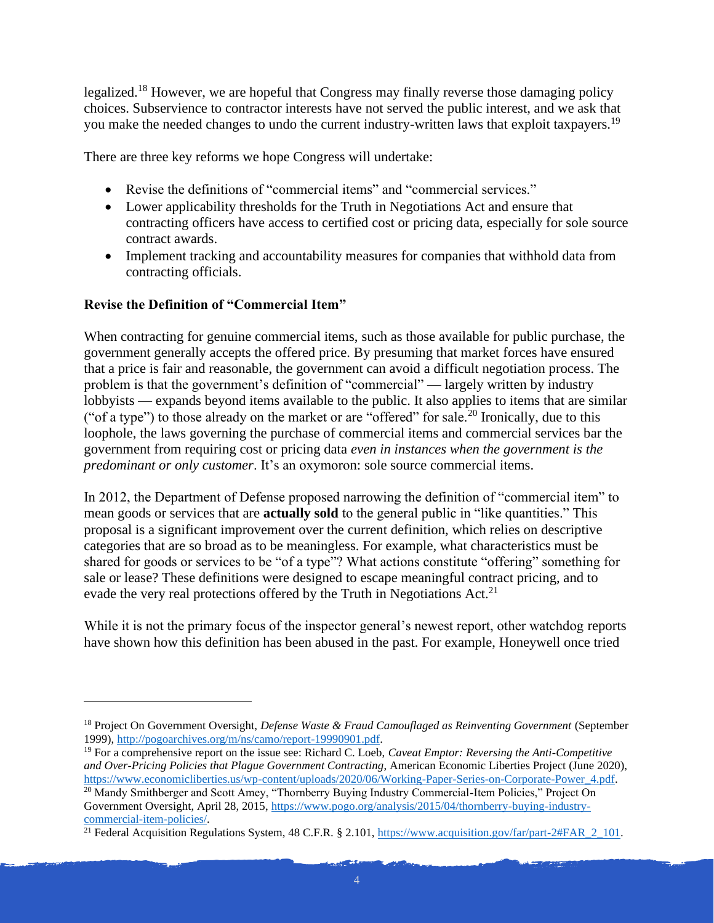legalized.<sup>18</sup> However, we are hopeful that Congress may finally reverse those damaging policy choices. Subservience to contractor interests have not served the public interest, and we ask that you make the needed changes to undo the current industry-written laws that exploit taxpayers.<sup>19</sup>

There are three key reforms we hope Congress will undertake:

- Revise the definitions of "commercial items" and "commercial services."
- Lower applicability thresholds for the Truth in Negotiations Act and ensure that contracting officers have access to certified cost or pricing data, especially for sole source contract awards.
- Implement tracking and accountability measures for companies that withhold data from contracting officials.

# **Revise the Definition of "Commercial Item"**

When contracting for genuine commercial items, such as those available for public purchase, the government generally accepts the offered price. By presuming that market forces have ensured that a price is fair and reasonable, the government can avoid a difficult negotiation process. The problem is that the government's definition of "commercial" — largely written by industry lobbyists — expands beyond items available to the public. It also applies to items that are similar ("of a type") to those already on the market or are "offered" for sale.<sup>20</sup> Ironically, due to this loophole, the laws governing the purchase of commercial items and commercial services bar the government from requiring cost or pricing data *even in instances when the government is the predominant or only customer*. It's an oxymoron: sole source commercial items.

In 2012, the Department of Defense proposed narrowing the definition of "commercial item" to mean goods or services that are **actually sold** to the general public in "like quantities." This proposal is a significant improvement over the current definition, which relies on descriptive categories that are so broad as to be meaningless. For example, what characteristics must be shared for goods or services to be "of a type"? What actions constitute "offering" something for sale or lease? These definitions were designed to escape meaningful contract pricing, and to evade the very real protections offered by the Truth in Negotiations Act.<sup>21</sup>

While it is not the primary focus of the inspector general's newest report, other watchdog reports have shown how this definition has been abused in the past. For example, Honeywell once tried

<sup>18</sup> Project On Government Oversight, *Defense Waste & Fraud Camouflaged as Reinventing Government* (September 1999), [http://pogoarchives.org/m/ns/camo/report-19990901.pdf.](http://pogoarchives.org/m/ns/camo/report-19990901.pdf)

<sup>19</sup> For a comprehensive report on the issue see: Richard C. Loeb, *Caveat Emptor: Reversing the Anti-Competitive and Over-Pricing Policies that Plague Government Contracting*, American Economic Liberties Project (June 2020), [https://www.economicliberties.us/wp-content/uploads/2020/06/Working-Paper-Series-on-Corporate-Power\\_4.pdf.](https://www.economicliberties.us/wp-content/uploads/2020/06/Working-Paper-Series-on-Corporate-Power_4.pdf)

<sup>&</sup>lt;sup>20</sup> Mandy Smithberger and Scott Amey, "Thornberry Buying Industry Commercial-Item Policies," Project On Government Oversight, April 28, 2015[, https://www.pogo.org/analysis/2015/04/thornberry-buying-industry](https://www.pogo.org/analysis/2015/04/thornberry-buying-industry-commercial-item-policies/)[commercial-item-policies/.](https://www.pogo.org/analysis/2015/04/thornberry-buying-industry-commercial-item-policies/)

<sup>&</sup>lt;sup>21</sup> Federal Acquisition Regulations System, 48 C.F.R. § 2.101, https://www.acquisition.gov/far/part-2#FAR  $\,$  2  $\,$  101.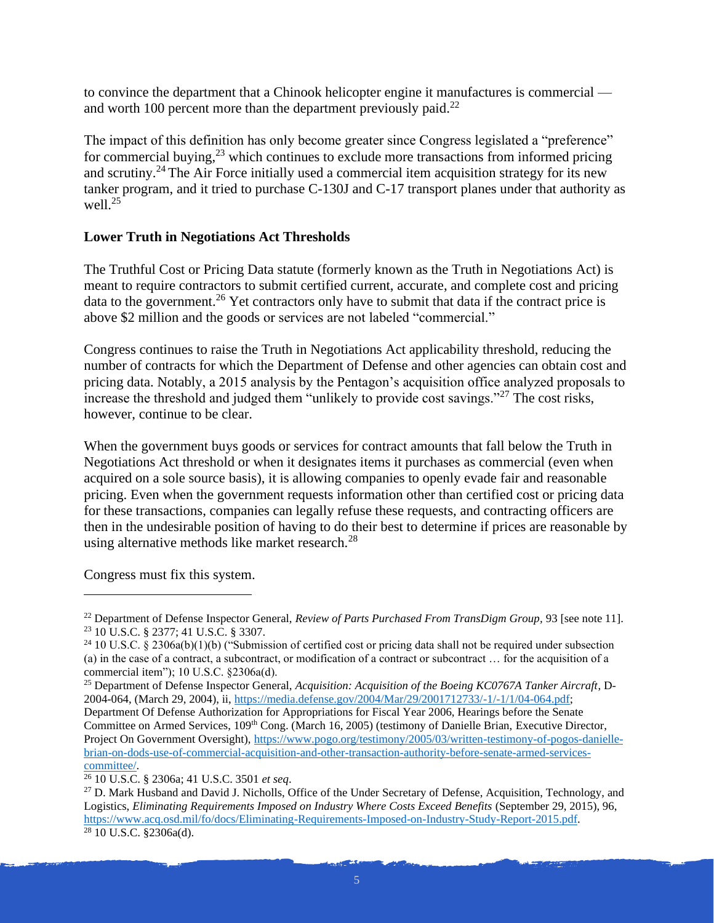to convince the department that a Chinook helicopter engine it manufactures is commercial and worth 100 percent more than the department previously paid.<sup>22</sup>

The impact of this definition has only become greater since Congress legislated a "preference" for commercial buying, $^{23}$  which continues to exclude more transactions from informed pricing and scrutiny.<sup>24</sup> The Air Force initially used a commercial item acquisition strategy for its new tanker program, and it tried to purchase C-130J and C-17 transport planes under that authority as well. $^{25}$ 

### **Lower Truth in Negotiations Act Thresholds**

The Truthful Cost or Pricing Data statute (formerly known as the Truth in Negotiations Act) is meant to require contractors to submit certified current, accurate, and complete cost and pricing data to the government.<sup>26</sup> Yet contractors only have to submit that data if the contract price is above \$2 million and the goods or services are not labeled "commercial."

Congress continues to raise the Truth in Negotiations Act applicability threshold, reducing the number of contracts for which the Department of Defense and other agencies can obtain cost and pricing data. Notably, a 2015 analysis by the Pentagon's acquisition office analyzed proposals to increase the threshold and judged them "unlikely to provide cost savings."<sup>27</sup> The cost risks, however, continue to be clear.

When the government buys goods or services for contract amounts that fall below the Truth in Negotiations Act threshold or when it designates items it purchases as commercial (even when acquired on a sole source basis), it is allowing companies to openly evade fair and reasonable pricing. Even when the government requests information other than certified cost or pricing data for these transactions, companies can legally refuse these requests, and contracting officers are then in the undesirable position of having to do their best to determine if prices are reasonable by using alternative methods like market research.<sup>28</sup>

Congress must fix this system.

<sup>&</sup>lt;sup>22</sup> Department of Defense Inspector General, *Review of Parts Purchased From TransDigm Group*, 93 [see note 11]. <sup>23</sup> 10 U.S.C. § 2377; 41 U.S.C. § 3307.

<sup>&</sup>lt;sup>24</sup> 10 U.S.C. § 2306a(b)(1)(b) ("Submission of certified cost or pricing data shall not be required under subsection (a) in the case of a contract, a subcontract, or modification of a contract or subcontract … for the acquisition of a commercial item"); 10 U.S.C. §2306a(d).

<sup>25</sup> Department of Defense Inspector General, *Acquisition: Acquisition of the Boeing KC0767A Tanker Aircraft*, D-2004-064, (March 29, 2004), ii, [https://media.defense.gov/2004/Mar/29/2001712733/-1/-1/1/04-064.pdf;](https://media.defense.gov/2004/Mar/29/2001712733/-1/-1/1/04-064.pdf) Department Of Defense Authorization for Appropriations for Fiscal Year 2006, Hearings before the Senate Committee on Armed Services, 109<sup>th</sup> Cong. (March 16, 2005) (testimony of Danielle Brian, Executive Director, Project On Government Oversight), [https://www.pogo.org/testimony/2005/03/written-testimony-of-pogos-danielle](https://www.pogo.org/testimony/2005/03/written-testimony-of-pogos-danielle-brian-on-dods-use-of-commercial-acquisition-and-other-transaction-authority-before-senate-armed-services-committee/)[brian-on-dods-use-of-commercial-acquisition-and-other-transaction-authority-before-senate-armed-services](https://www.pogo.org/testimony/2005/03/written-testimony-of-pogos-danielle-brian-on-dods-use-of-commercial-acquisition-and-other-transaction-authority-before-senate-armed-services-committee/)[committee/.](https://www.pogo.org/testimony/2005/03/written-testimony-of-pogos-danielle-brian-on-dods-use-of-commercial-acquisition-and-other-transaction-authority-before-senate-armed-services-committee/)

<sup>26</sup> 10 U.S.C. § 2306a; 41 U.S.C. 3501 *et seq*.

<sup>&</sup>lt;sup>27</sup> D. Mark Husband and David J. Nicholls, Office of the Under Secretary of Defense, Acquisition, Technology, and Logistics, *Eliminating Requirements Imposed on Industry Where Costs Exceed Benefits* (September 29, 2015), 96, [https://www.acq.osd.mil/fo/docs/Eliminating-Requirements-Imposed-on-Industry-Study-Report-2015.pdf.](https://www.acq.osd.mil/fo/docs/Eliminating-Requirements-Imposed-on-Industry-Study-Report-2015.pdf)  $28$  10 U.S.C. §2306a(d).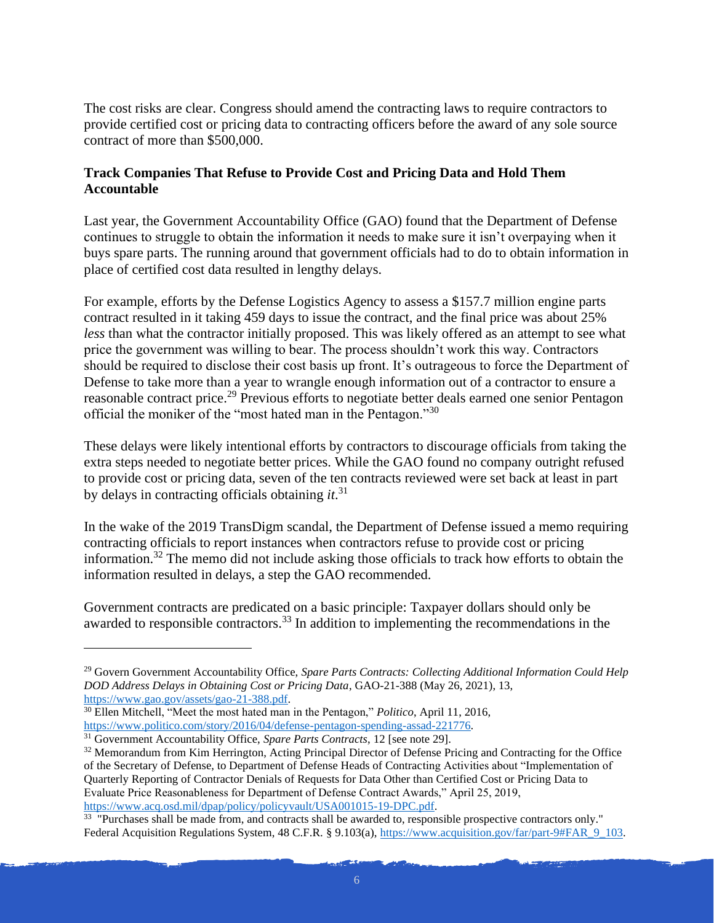The cost risks are clear. Congress should amend the contracting laws to require contractors to provide certified cost or pricing data to contracting officers before the award of any sole source contract of more than \$500,000.

#### **Track Companies That Refuse to Provide Cost and Pricing Data and Hold Them Accountable**

Last year, the Government Accountability Office (GAO) found that the Department of Defense continues to struggle to obtain the information it needs to make sure it isn't overpaying when it buys spare parts. The running around that government officials had to do to obtain information in place of certified cost data resulted in lengthy delays.

For example, efforts by the Defense Logistics Agency to assess a \$157.7 million engine parts contract resulted in it taking 459 days to issue the contract, and the final price was about 25% *less* than what the contractor initially proposed. This was likely offered as an attempt to see what price the government was willing to bear. The process shouldn't work this way. Contractors should be required to disclose their cost basis up front. It's outrageous to force the Department of Defense to take more than a year to wrangle enough information out of a contractor to ensure a reasonable contract price.<sup>29</sup> Previous efforts to negotiate better deals earned one senior Pentagon official the moniker of the "most hated man in the Pentagon."<sup>30</sup>

These delays were likely intentional efforts by contractors to discourage officials from taking the extra steps needed to negotiate better prices. While the GAO found no company outright refused to provide cost or pricing data, seven of the ten contracts reviewed were set back at least in part by delays in contracting officials obtaining *it*. 31

In the wake of the 2019 TransDigm scandal, the Department of Defense issued a memo requiring contracting officials to report instances when contractors refuse to provide cost or pricing information.<sup>32</sup> The memo did not include asking those officials to track how efforts to obtain the information resulted in delays, a step the GAO recommended.

Government contracts are predicated on a basic principle: Taxpayer dollars should only be awarded to responsible contractors.<sup>33</sup> In addition to implementing the recommendations in the

<sup>29</sup> Govern Government Accountability Office, *Spare Parts Contracts: Collecting Additional Information Could Help DOD Address Delays in Obtaining Cost or Pricing Data*, GAO-21-388 (May 26, 2021), 13, [https://www.gao.gov/assets/gao-21-388.pdf.](https://www.gao.gov/assets/gao-21-388.pdf)

<sup>30</sup> Ellen Mitchell, "Meet the most hated man in the Pentagon," *Politico*, April 11, 2016, [https://www.politico.com/story/2016/04/defense-pentagon-spending-assad-221776.](https://www.politico.com/story/2016/04/defense-pentagon-spending-assad-221776)

<sup>31</sup> Government Accountability Office, *Spare Parts Contracts*, 12 [see note 29].

<sup>&</sup>lt;sup>32</sup> Memorandum from Kim Herrington, Acting Principal Director of Defense Pricing and Contracting for the Office of the Secretary of Defense, to Department of Defense Heads of Contracting Activities about "Implementation of Quarterly Reporting of Contractor Denials of Requests for Data Other than Certified Cost or Pricing Data to Evaluate Price Reasonableness for Department of Defense Contract Awards," April 25, 2019, [https://www.acq.osd.mil/dpap/policy/policyvault/USA001015-19-DPC.pdf.](https://www.acq.osd.mil/dpap/policy/policyvault/USA001015-19-DPC.pdf)

<sup>&</sup>lt;sup>33</sup> "Purchases shall be made from, and contracts shall be awarded to, responsible prospective contractors only." Federal Acquisition Regulations System, 48 C.F.R. § 9.103(a), [https://www.acquisition.gov/far/part-9#FAR\\_9\\_103.](https://www.acquisition.gov/far/part-9#FAR_9_103)